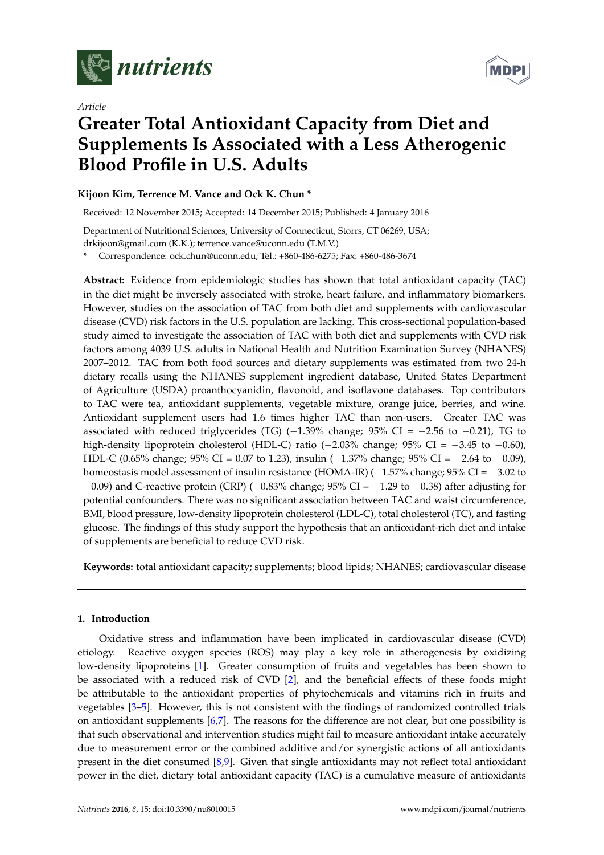

*Article*



# **Greater Total Antioxidant Capacity from Diet and Supplements Is Associated with a Less Atherogenic Blood Profile in U.S. Adults**

# **Kijoon Kim, Terrence M. Vance and Ock K. Chun \***

Received: 12 November 2015; Accepted: 14 December 2015; Published: 4 January 2016

Department of Nutritional Sciences, University of Connecticut, Storrs, CT 06269, USA; drkijoon@gmail.com (K.K.); terrence.vance@uconn.edu (T.M.V.)

**\*** Correspondence: ock.chun@uconn.edu; Tel.: +860-486-6275; Fax: +860-486-3674

**Abstract:** Evidence from epidemiologic studies has shown that total antioxidant capacity (TAC) in the diet might be inversely associated with stroke, heart failure, and inflammatory biomarkers. However, studies on the association of TAC from both diet and supplements with cardiovascular disease (CVD) risk factors in the U.S. population are lacking. This cross-sectional population-based study aimed to investigate the association of TAC with both diet and supplements with CVD risk factors among 4039 U.S. adults in National Health and Nutrition Examination Survey (NHANES) 2007–2012. TAC from both food sources and dietary supplements was estimated from two 24-h dietary recalls using the NHANES supplement ingredient database, United States Department of Agriculture (USDA) proanthocyanidin, flavonoid, and isoflavone databases. Top contributors to TAC were tea, antioxidant supplements, vegetable mixture, orange juice, berries, and wine. Antioxidant supplement users had 1.6 times higher TAC than non-users. Greater TAC was associated with reduced triglycerides (TG)  $(-1.39\%$  change; 95% CI =  $-2.56$  to  $-0.21$ ), TG to high-density lipoprotein cholesterol (HDL-C) ratio  $(-2.03\%$  change; 95% CI =  $-3.45$  to  $-0.60$ ), HDL-C (0.65% change; 95% CI = 0.07 to 1.23), insulin  $(-1.37%$  change; 95% CI =  $-2.64$  to  $-0.09$ ), homeostasis model assessment of insulin resistance (HOMA-IR) ( $-1.57\%$  change; 95% CI =  $-3.02$  to  $-0.09$ ) and C-reactive protein (CRP) ( $-0.83\%$  change; 95% CI =  $-1.29$  to  $-0.38$ ) after adjusting for potential confounders. There was no significant association between TAC and waist circumference, BMI, blood pressure, low-density lipoprotein cholesterol (LDL-C), total cholesterol (TC), and fasting glucose. The findings of this study support the hypothesis that an antioxidant-rich diet and intake of supplements are beneficial to reduce CVD risk.

**Keywords:** total antioxidant capacity; supplements; blood lipids; NHANES; cardiovascular disease

# **1. Introduction**

Oxidative stress and inflammation have been implicated in cardiovascular disease (CVD) etiology. Reactive oxygen species (ROS) may play a key role in atherogenesis by oxidizing low-density lipoproteins [\[1\]](#page-10-0). Greater consumption of fruits and vegetables has been shown to be associated with a reduced risk of CVD [\[2\]](#page-10-1), and the beneficial effects of these foods might be attributable to the antioxidant properties of phytochemicals and vitamins rich in fruits and vegetables [\[3–](#page-10-2)[5\]](#page-10-3). However, this is not consistent with the findings of randomized controlled trials on antioxidant supplements [\[6](#page-10-4)[,7\]](#page-10-5). The reasons for the difference are not clear, but one possibility is that such observational and intervention studies might fail to measure antioxidant intake accurately due to measurement error or the combined additive and/or synergistic actions of all antioxidants present in the diet consumed [\[8,](#page-10-6)[9\]](#page-10-7). Given that single antioxidants may not reflect total antioxidant power in the diet, dietary total antioxidant capacity (TAC) is a cumulative measure of antioxidants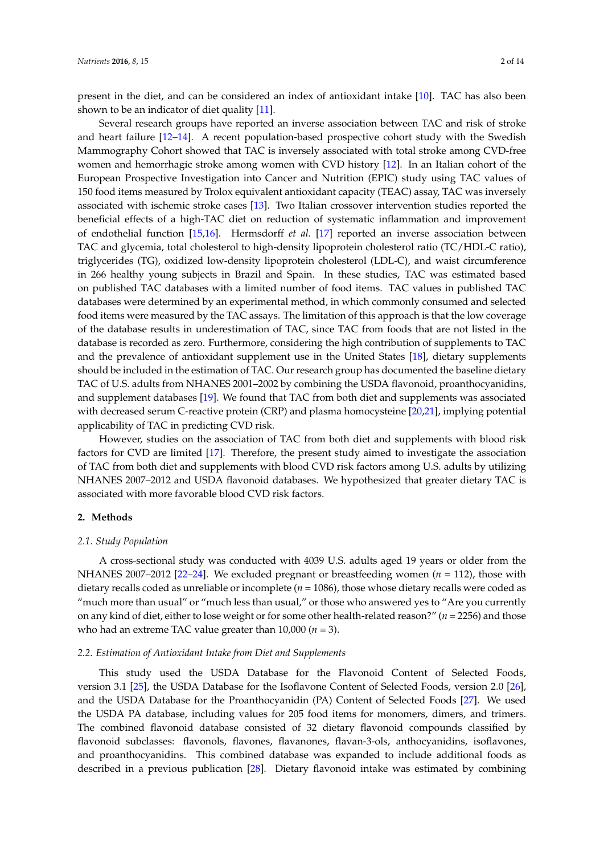present in the diet, and can be considered an index of antioxidant intake [\[10\]](#page-10-8). TAC has also been shown to be an indicator of diet quality [\[11\]](#page-10-9).

Several research groups have reported an inverse association between TAC and risk of stroke and heart failure [\[12](#page-10-10)[–14\]](#page-10-11). A recent population-based prospective cohort study with the Swedish Mammography Cohort showed that TAC is inversely associated with total stroke among CVD-free women and hemorrhagic stroke among women with CVD history [\[12\]](#page-10-10). In an Italian cohort of the European Prospective Investigation into Cancer and Nutrition (EPIC) study using TAC values of 150 food items measured by Trolox equivalent antioxidant capacity (TEAC) assay, TAC was inversely associated with ischemic stroke cases [\[13\]](#page-10-12). Two Italian crossover intervention studies reported the beneficial effects of a high-TAC diet on reduction of systematic inflammation and improvement of endothelial function [\[15,](#page-10-13)[16\]](#page-11-0). Hermsdorff *et al.* [\[17\]](#page-11-1) reported an inverse association between TAC and glycemia, total cholesterol to high-density lipoprotein cholesterol ratio (TC/HDL-C ratio), triglycerides (TG), oxidized low-density lipoprotein cholesterol (LDL-C), and waist circumference in 266 healthy young subjects in Brazil and Spain. In these studies, TAC was estimated based on published TAC databases with a limited number of food items. TAC values in published TAC databases were determined by an experimental method, in which commonly consumed and selected food items were measured by the TAC assays. The limitation of this approach is that the low coverage of the database results in underestimation of TAC, since TAC from foods that are not listed in the database is recorded as zero. Furthermore, considering the high contribution of supplements to TAC and the prevalence of antioxidant supplement use in the United States [\[18\]](#page-11-2), dietary supplements should be included in the estimation of TAC. Our research group has documented the baseline dietary TAC of U.S. adults from NHANES 2001–2002 by combining the USDA flavonoid, proanthocyanidins, and supplement databases [\[19\]](#page-11-3). We found that TAC from both diet and supplements was associated with decreased serum C-reactive protein (CRP) and plasma homocysteine [\[20,](#page-11-4)[21\]](#page-11-5), implying potential applicability of TAC in predicting CVD risk.

However, studies on the association of TAC from both diet and supplements with blood risk factors for CVD are limited [\[17\]](#page-11-1). Therefore, the present study aimed to investigate the association of TAC from both diet and supplements with blood CVD risk factors among U.S. adults by utilizing NHANES 2007–2012 and USDA flavonoid databases. We hypothesized that greater dietary TAC is associated with more favorable blood CVD risk factors.

#### **2. Methods**

#### *2.1. Study Population*

A cross-sectional study was conducted with 4039 U.S. adults aged 19 years or older from the NHANES 2007–2012 [\[22–](#page-11-6)[24\]](#page-11-7). We excluded pregnant or breastfeeding women (*n* = 112), those with dietary recalls coded as unreliable or incomplete (*n* = 1086), those whose dietary recalls were coded as "much more than usual" or "much less than usual," or those who answered yes to "Are you currently on any kind of diet, either to lose weight or for some other health-related reason?" (*n* = 2256) and those who had an extreme TAC value greater than 10,000 (*n* = 3).

#### *2.2. Estimation of Antioxidant Intake from Diet and Supplements*

This study used the USDA Database for the Flavonoid Content of Selected Foods, version 3.1 [\[25\]](#page-11-8), the USDA Database for the Isoflavone Content of Selected Foods, version 2.0 [\[26\]](#page-11-9), and the USDA Database for the Proanthocyanidin (PA) Content of Selected Foods [\[27\]](#page-11-10). We used the USDA PA database, including values for 205 food items for monomers, dimers, and trimers. The combined flavonoid database consisted of 32 dietary flavonoid compounds classified by flavonoid subclasses: flavonols, flavones, flavanones, flavan-3-ols, anthocyanidins, isoflavones, and proanthocyanidins. This combined database was expanded to include additional foods as described in a previous publication [\[28\]](#page-11-11). Dietary flavonoid intake was estimated by combining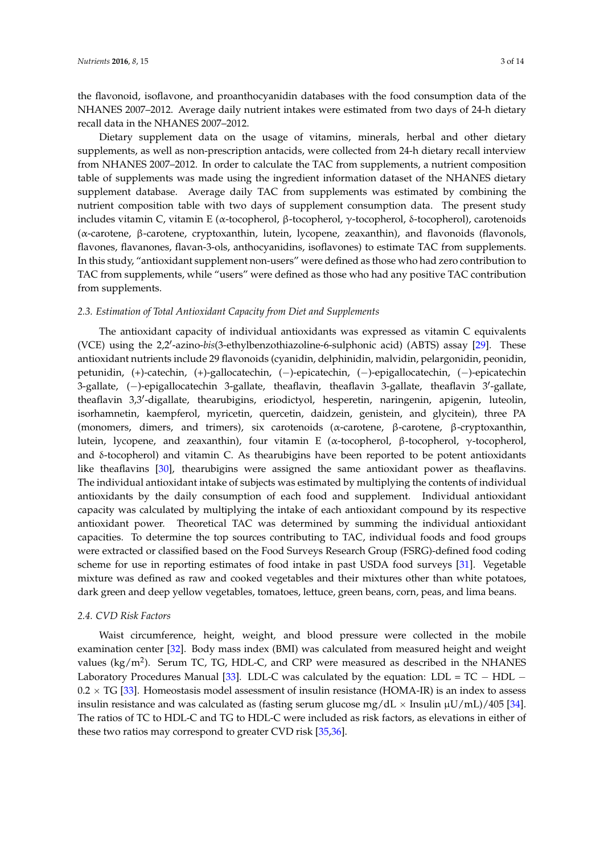the flavonoid, isoflavone, and proanthocyanidin databases with the food consumption data of the NHANES 2007–2012. Average daily nutrient intakes were estimated from two days of 24-h dietary recall data in the NHANES 2007–2012.

Dietary supplement data on the usage of vitamins, minerals, herbal and other dietary supplements, as well as non-prescription antacids, were collected from 24-h dietary recall interview from NHANES 2007–2012. In order to calculate the TAC from supplements, a nutrient composition table of supplements was made using the ingredient information dataset of the NHANES dietary supplement database. Average daily TAC from supplements was estimated by combining the nutrient composition table with two days of supplement consumption data. The present study includes vitamin C, vitamin E (α-tocopherol, β-tocopherol, γ-tocopherol, δ-tocopherol), carotenoids (α-carotene, β-carotene, cryptoxanthin, lutein, lycopene, zeaxanthin), and flavonoids (flavonols, flavones, flavanones, flavan-3-ols, anthocyanidins, isoflavones) to estimate TAC from supplements. In this study, "antioxidant supplement non-users" were defined as those who had zero contribution to TAC from supplements, while "users" were defined as those who had any positive TAC contribution from supplements.

#### *2.3. Estimation of Total Antioxidant Capacity from Diet and Supplements*

The antioxidant capacity of individual antioxidants was expressed as vitamin C equivalents (VCE) using the 2,2'-azino-bis(3-ethylbenzothiazoline-6-sulphonic acid) (ABTS) assay [\[29\]](#page-11-12). These antioxidant nutrients include 29 flavonoids (cyanidin, delphinidin, malvidin, pelargonidin, peonidin, petunidin, (+)-catechin, (+)-gallocatechin, (-)-epicatechin, (-)-epigallocatechin, (-)-epicatechin 3-gallate, (-)-epigallocatechin 3-gallate, theaflavin, theaflavin 3-gallate, theaflavin 3'-gallate, theaflavin 3,3'-digallate, thearubigins, eriodictyol, hesperetin, naringenin, apigenin, luteolin, isorhamnetin, kaempferol, myricetin, quercetin, daidzein, genistein, and glycitein), three PA (monomers, dimers, and trimers), six carotenoids (α-carotene, β-carotene, β-cryptoxanthin, lutein, lycopene, and zeaxanthin), four vitamin E (α-tocopherol, β-tocopherol, γ-tocopherol, and  $\delta$ -tocopherol) and vitamin C. As thearubigins have been reported to be potent antioxidants like theaflavins [\[30\]](#page-11-13), thearubigins were assigned the same antioxidant power as theaflavins. The individual antioxidant intake of subjects was estimated by multiplying the contents of individual antioxidants by the daily consumption of each food and supplement. Individual antioxidant capacity was calculated by multiplying the intake of each antioxidant compound by its respective antioxidant power. Theoretical TAC was determined by summing the individual antioxidant capacities. To determine the top sources contributing to TAC, individual foods and food groups were extracted or classified based on the Food Surveys Research Group (FSRG)-defined food coding scheme for use in reporting estimates of food intake in past USDA food surveys [\[31\]](#page-11-14). Vegetable mixture was defined as raw and cooked vegetables and their mixtures other than white potatoes, dark green and deep yellow vegetables, tomatoes, lettuce, green beans, corn, peas, and lima beans.

#### *2.4. CVD Risk Factors*

Waist circumference, height, weight, and blood pressure were collected in the mobile examination center [\[32\]](#page-11-15). Body mass index (BMI) was calculated from measured height and weight values (kg/m<sup>2</sup>). Serum TC, TG, HDL-C, and CRP were measured as described in the NHANES Laboratory Procedures Manual [\[33\]](#page-11-16). LDL-C was calculated by the equation: LDL =  $TC - HDL$  $0.2 \times TG$  [\[33\]](#page-11-16). Homeostasis model assessment of insulin resistance (HOMA-IR) is an index to assess insulin resistance and was calculated as (fasting serum glucose mg/dL  $\times$  Insulin  $\mu$ U/mL)/405 [\[34\]](#page-11-17). The ratios of TC to HDL-C and TG to HDL-C were included as risk factors, as elevations in either of these two ratios may correspond to greater CVD risk [\[35,](#page-11-18)[36\]](#page-12-0).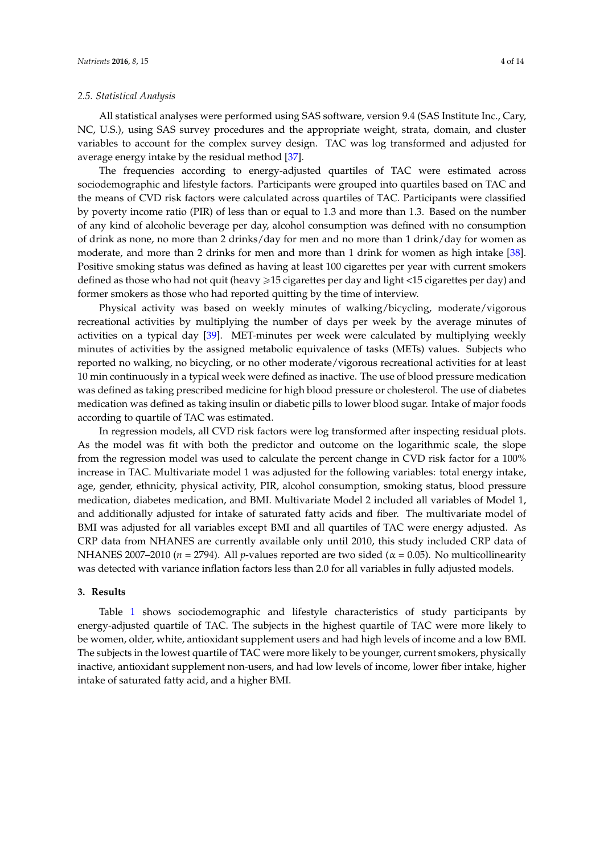#### *2.5. Statistical Analysis*

All statistical analyses were performed using SAS software, version 9.4 (SAS Institute Inc., Cary, NC, U.S.), using SAS survey procedures and the appropriate weight, strata, domain, and cluster variables to account for the complex survey design. TAC was log transformed and adjusted for average energy intake by the residual method [\[37\]](#page-12-1).

The frequencies according to energy-adjusted quartiles of TAC were estimated across sociodemographic and lifestyle factors. Participants were grouped into quartiles based on TAC and the means of CVD risk factors were calculated across quartiles of TAC. Participants were classified by poverty income ratio (PIR) of less than or equal to 1.3 and more than 1.3. Based on the number of any kind of alcoholic beverage per day, alcohol consumption was defined with no consumption of drink as none, no more than 2 drinks/day for men and no more than 1 drink/day for women as moderate, and more than 2 drinks for men and more than 1 drink for women as high intake [\[38\]](#page-12-2). Positive smoking status was defined as having at least 100 cigarettes per year with current smokers defined as those who had not quit (heavy  $\geq 15$  cigarettes per day and light  $\lt 15$  cigarettes per day) and former smokers as those who had reported quitting by the time of interview.

Physical activity was based on weekly minutes of walking/bicycling, moderate/vigorous recreational activities by multiplying the number of days per week by the average minutes of activities on a typical day [\[39\]](#page-12-3). MET-minutes per week were calculated by multiplying weekly minutes of activities by the assigned metabolic equivalence of tasks (METs) values. Subjects who reported no walking, no bicycling, or no other moderate/vigorous recreational activities for at least 10 min continuously in a typical week were defined as inactive. The use of blood pressure medication was defined as taking prescribed medicine for high blood pressure or cholesterol. The use of diabetes medication was defined as taking insulin or diabetic pills to lower blood sugar. Intake of major foods according to quartile of TAC was estimated.

In regression models, all CVD risk factors were log transformed after inspecting residual plots. As the model was fit with both the predictor and outcome on the logarithmic scale, the slope from the regression model was used to calculate the percent change in CVD risk factor for a 100% increase in TAC. Multivariate model 1 was adjusted for the following variables: total energy intake, age, gender, ethnicity, physical activity, PIR, alcohol consumption, smoking status, blood pressure medication, diabetes medication, and BMI. Multivariate Model 2 included all variables of Model 1, and additionally adjusted for intake of saturated fatty acids and fiber. The multivariate model of BMI was adjusted for all variables except BMI and all quartiles of TAC were energy adjusted. As CRP data from NHANES are currently available only until 2010, this study included CRP data of NHANES 2007–2010 ( $n = 2794$ ). All *p*-values reported are two sided ( $\alpha = 0.05$ ). No multicollinearity was detected with variance inflation factors less than 2.0 for all variables in fully adjusted models.

## **3. Results**

Table [1](#page-4-0) shows sociodemographic and lifestyle characteristics of study participants by energy-adjusted quartile of TAC. The subjects in the highest quartile of TAC were more likely to be women, older, white, antioxidant supplement users and had high levels of income and a low BMI. The subjects in the lowest quartile of TAC were more likely to be younger, current smokers, physically inactive, antioxidant supplement non-users, and had low levels of income, lower fiber intake, higher intake of saturated fatty acid, and a higher BMI.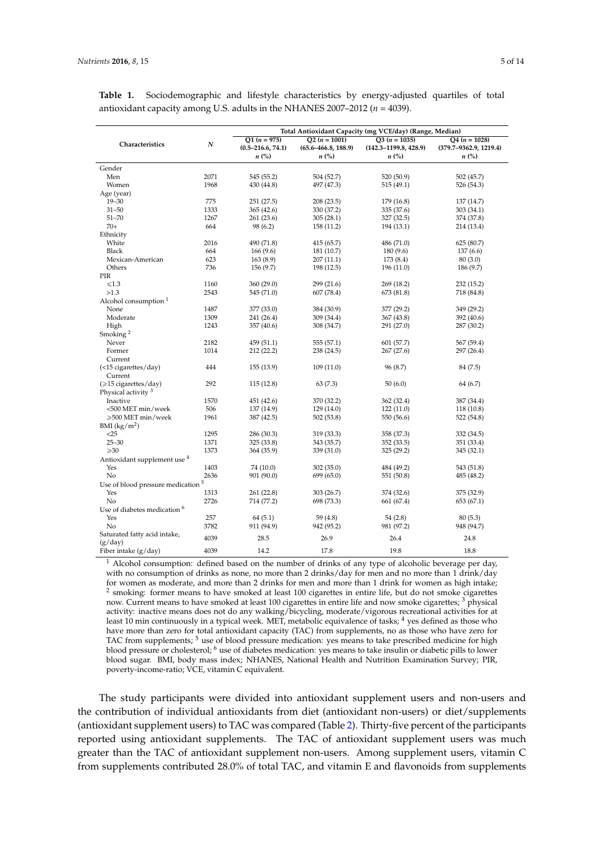<span id="page-4-0"></span>

| <b>Table 1.</b> Sociodemographic and lifestyle characteristics by energy-adjusted quartiles of total |  |  |  |  |
|------------------------------------------------------------------------------------------------------|--|--|--|--|
| antioxidant capacity among U.S. adults in the NHANES 2007-2012 ( $n = 4039$ ).                       |  |  |  |  |

|                                         |      |                       |                         | Total Antioxidant Capacity (mg VCE/day) (Range, Median) |                        |
|-----------------------------------------|------|-----------------------|-------------------------|---------------------------------------------------------|------------------------|
|                                         |      | $Q1 (n = 975)$        | $Q2 (n = 1001)$         | $Q3 (n = 1035)$                                         | $Q4(n = 1028)$         |
| Characteristics                         | N    | $(0.5 - 216.6, 74.1)$ | $(65.6 - 466.8, 188.9)$ | $(142.3 - 1199.8, 428.9)$                               | (379.7-9362.9, 1219.4) |
|                                         |      | $n\ (\%)$             | $n\ (\%)$               | $n\ (\%)$                                               | $n\left(\%\right)$     |
| Gender                                  |      |                       |                         |                                                         |                        |
| Men                                     | 2071 | 545 (55.2)            | 504 (52.7)              | 520 (50.9)                                              | 502 (45.7)             |
| Women                                   | 1968 | 430 (44.8)            | 497 (47.3)              | 515 (49.1)                                              | 526 (54.3)             |
| Age (year)                              |      |                       |                         |                                                         |                        |
| $19 - 30$                               | 775  | 251 (27.5)            | 208(23.5)               | 179 (16.8)                                              | 137 (14.7)             |
| $31 - 50$                               | 1333 | 365 (42.6)            | 330 (37.2)              | 335 (37.6)                                              | 303 (34.1)             |
| $51 - 70$                               | 1267 | 261 (23.6)            | 305(28.1)               | 327 (32.5)                                              | 374 (37.8)             |
| $70+$                                   | 664  | 98 (6.2)              | 158 (11.2)              | 194 (13.1)                                              | 214 (13.4)             |
| Ethnicity                               |      |                       |                         |                                                         |                        |
| White                                   | 2016 | 490 (71.8)            | 415 (65.7)              | 486 (71.0)                                              | 625(80.7)              |
| Black                                   | 664  | 166(9.6)              | 181 (10.7)              | 180 (9.6)                                               | 137(6.6)               |
| Mexican-American                        | 623  | 163(8.9)              | 207(11.1)               | 173 (8.4)                                               | 80(3.0)                |
| Others                                  | 736  | 156(9.7)              | 198 (12.5)              | 196 (11.0)                                              | 186 (9.7)              |
| PIR                                     |      |                       |                         |                                                         |                        |
| $\leq 1.3$                              | 1160 | 360 (29.0)            | 299 (21.6)              | 269 (18.2)                                              | 232 (15.2)             |
| >1.3                                    | 2543 | 545 (71.0)            | 607 (78.4)              | 673 (81.8)                                              | 718 (84.8)             |
| Alcohol consumption <sup>1</sup>        |      |                       |                         |                                                         |                        |
| None                                    | 1487 | 377 (33.0)            | 384 (30.9)              | 377 (29.2)                                              | 349 (29.2)             |
| Moderate                                | 1309 | 241 (26.4)            | 309 (34.4)              | 367 (43.8)                                              | 392 (40.6)             |
| High                                    | 1243 | 357 (40.6)            | 308 (34.7)              | 291 (27.0)                                              | 287 (30.2)             |
| Smoking <sup>2</sup>                    |      |                       |                         |                                                         |                        |
| Never                                   | 2182 | 459 (51.1)            | 555 (57.1)              | 601 (57.7)                                              | 567 (59.4)             |
| Former                                  | 1014 | 212(22.2)             | 238 (24.5)              | 267(27.6)                                               | 297 (26.4)             |
| Current                                 |      |                       |                         |                                                         |                        |
| $(<15$ cigarettes/day)                  | 444  | 155(13.9)             | 109(11.0)               | 96 (8.7)                                                | 84 (7.5)               |
| Current                                 |      |                       |                         |                                                         |                        |
| (≥15 cigarettes/day)                    | 292  | 115(12.8)             | 63(7.3)                 | 50(6.0)                                                 | 64 (6.7)               |
| Physical activity <sup>3</sup>          |      |                       |                         |                                                         |                        |
| Inactive                                | 1570 | 451 (42.6)            | 370 (32.2)              | 362 (32.4)                                              | 387 (34.4)             |
| <500 MET min/week                       | 506  | 137 (14.9)            | 129 (14.0)              | 122(11.0)                                               | 118 (10.8)             |
| ≥500 MET min/week                       | 1961 | 387 (42.5)            | 502 (53.8)              | 550 (56.6)                                              | 522 (54.8)             |
| BMI $(kg/m2)$                           |      |                       |                         |                                                         |                        |
| $<$ 25                                  | 1295 | 286 (30.3)            | 319 (33.3)              | 358 (37.3)                                              | 332 (34.5)             |
| $25 - 30$                               | 1371 | 325 (33.8)            | 343 (35.7)              | 352 (33.5)                                              | 351 (33.4)             |
| $\geqslant$ 30                          | 1373 | 364 (35.9)            | 339 (31.0)              | 325 (29.2)                                              | 345 (32.1)             |
| Antioxidant supplement use 4            |      |                       |                         |                                                         |                        |
| Yes                                     | 1403 | 74 (10.0)             | 302 (35.0)              | 484 (49.2)                                              | 543 (51.8)             |
| No                                      | 2636 | 901 (90.0)            | 699 (65.0)              | 551 (50.8)                                              | 485 (48.2)             |
| Use of blood pressure medication 5      |      |                       |                         |                                                         |                        |
| Yes                                     | 1313 | 261 (22.8)            | 303 (26.7)              | 374 (32.6)                                              | 375 (32.9)             |
| No                                      | 2726 | 714 (77.2)            | 698 (73.3)              | 661 (67.4)                                              | 653 (67.1)             |
| Use of diabetes medication <sup>6</sup> |      |                       |                         |                                                         |                        |
| Yes                                     | 257  |                       |                         |                                                         |                        |
| No                                      | 3782 | 64(5.1)               | 59(4.8)                 | 54(2.8)                                                 | 80(5.3)                |
|                                         |      | 911 (94.9)            | 942 (95.2)              | 981 (97.2)                                              | 948 (94.7)             |
| Saturated fatty acid intake,<br>(g/day) | 4039 | 28.5                  | 26.9                    | 26.4                                                    | 24.8                   |
| Fiber intake $(g/day)$                  | 4039 | 14.2                  | 17.8                    | 19.8                                                    | 18.8                   |

<sup>1</sup> Alcohol consumption: defined based on the number of drinks of any type of alcoholic beverage per day, with no consumption of drinks as none, no more than 2 drinks/day for men and no more than 1 drink/day for women as moderate, and more than 2 drinks for men and more than 1 drink for women as high intake; <sup>2</sup> smoking: former means to have smoked at least 100 cigarettes in entire life, but do not smoke cigarettes now. Current means to have smoked at least 100 cigarettes in entire life and now smoke cigarettes; <sup>3</sup> physical activity: inactive means does not do any walking/bicycling, moderate/vigorous recreational activities for at least 10 min continuously in a typical week. MET, metabolic equivalence of tasks; <sup>4</sup> yes defined as those who have more than zero for total antioxidant capacity (TAC) from supplements, no as those who have zero for TAC from supplements; <sup>5</sup> use of blood pressure medication: yes means to take prescribed medicine for high blood pressure or cholesterol; <sup>6</sup> use of diabetes medication: yes means to take insulin or diabetic pills to lower blood sugar. BMI, body mass index; NHANES, National Health and Nutrition Examination Survey; PIR, poverty-income-ratio; VCE, vitamin C equivalent.

The study participants were divided into antioxidant supplement users and non-users and the contribution of individual antioxidants from diet (antioxidant non-users) or diet/supplements (antioxidant supplement users) to TAC was compared (Table [2\)](#page-5-0). Thirty-five percent of the participants reported using antioxidant supplements. The TAC of antioxidant supplement users was much greater than the TAC of antioxidant supplement non-users. Among supplement users, vitamin C from supplements contributed 28.0% of total TAC, and vitamin E and flavonoids from supplements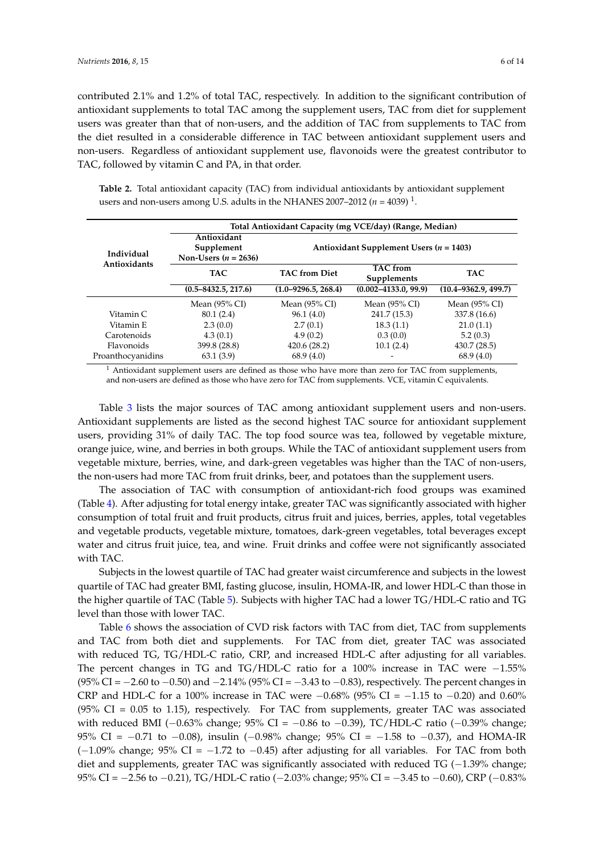contributed 2.1% and 1.2% of total TAC, respectively. In addition to the significant contribution of antioxidant supplements to total TAC among the supplement users, TAC from diet for supplement users was greater than that of non-users, and the addition of TAC from supplements to TAC from the diet resulted in a considerable difference in TAC between antioxidant supplement users and non-users. Regardless of antioxidant supplement use, flavonoids were the greatest contributor to TAC, followed by vitamin C and PA, in that order.

<span id="page-5-0"></span>**Table 2.** Total antioxidant capacity (TAC) from individual antioxidants by antioxidant supplement users and non-users among U.S. adults in the NHANES 2007–2012  $(n = 4039)^{1}$ .

|                            |                           |                          | Total Antioxidant Capacity (mg VCE/day) (Range, Median) |                                             |  |  |  |
|----------------------------|---------------------------|--------------------------|---------------------------------------------------------|---------------------------------------------|--|--|--|
|                            | Antioxidant<br>Supplement |                          |                                                         |                                             |  |  |  |
| Individual<br>Antioxidants | Non-Users $(n = 2636)$    |                          |                                                         | Antioxidant Supplement Users ( $n = 1403$ ) |  |  |  |
|                            | <b>TAC</b>                | <b>TAC</b> from Diet     | <b>TAC</b> from<br>Supplements                          | <b>TAC</b>                                  |  |  |  |
|                            |                           |                          |                                                         |                                             |  |  |  |
|                            | $(0.5 - 8432.5, 217.6)$   | $(1.0 - 9296.5, 268.4)$  | $(0.002 - 4133.0, 99.9)$                                | $(10.4 - 9362.9, 499.7)$                    |  |  |  |
|                            | Mean $(95\% \text{ CI})$  | Mean $(95\% \text{ CI})$ | Mean (95% CI)                                           | Mean $(95\%$ CI)                            |  |  |  |
| Vitamin C                  | 80.1 (2.4)                | 96.1(4.0)                | 241.7 (15.3)                                            | 337.8 (16.6)                                |  |  |  |
| Vitamin E                  | 2.3(0.0)                  | 2.7(0.1)                 | 18.3(1.1)                                               | 21.0(1.1)                                   |  |  |  |
| Carotenoids                | 4.3(0.1)                  | 4.9(0.2)                 | 0.3(0.0)                                                | 5.2(0.3)                                    |  |  |  |
| Flavonoids                 | 399.8 (28.8)              | 420.6(28.2)              | 10.1(2.4)                                               | 430.7 (28.5)                                |  |  |  |
| Proanthocyanidins          | 63.1(3.9)                 | 68.9(4.0)                |                                                         | 68.9(4.0)                                   |  |  |  |
|                            |                           |                          |                                                         |                                             |  |  |  |

 $<sup>1</sup>$  Antioxidant supplement users are defined as those who have more than zero for TAC from supplements,</sup> and non-users are defined as those who have zero for TAC from supplements. VCE, vitamin C equivalents.

Table [3](#page-6-0) lists the major sources of TAC among antioxidant supplement users and non-users. Antioxidant supplements are listed as the second highest TAC source for antioxidant supplement users, providing 31% of daily TAC. The top food source was tea, followed by vegetable mixture, orange juice, wine, and berries in both groups. While the TAC of antioxidant supplement users from vegetable mixture, berries, wine, and dark-green vegetables was higher than the TAC of non-users, the non-users had more TAC from fruit drinks, beer, and potatoes than the supplement users.

The association of TAC with consumption of antioxidant-rich food groups was examined (Table [4\)](#page-6-1). After adjusting for total energy intake, greater TAC was significantly associated with higher consumption of total fruit and fruit products, citrus fruit and juices, berries, apples, total vegetables and vegetable products, vegetable mixture, tomatoes, dark-green vegetables, total beverages except water and citrus fruit juice, tea, and wine. Fruit drinks and coffee were not significantly associated with TAC.

Subjects in the lowest quartile of TAC had greater waist circumference and subjects in the lowest quartile of TAC had greater BMI, fasting glucose, insulin, HOMA-IR, and lower HDL-C than those in the higher quartile of TAC (Table [5\)](#page-7-0). Subjects with higher TAC had a lower TG/HDL-C ratio and TG level than those with lower TAC.

Table [6](#page-7-1) shows the association of CVD risk factors with TAC from diet, TAC from supplements and TAC from both diet and supplements. For TAC from diet, greater TAC was associated with reduced TG, TG/HDL-C ratio, CRP, and increased HDL-C after adjusting for all variables. The percent changes in TG and TG/HDL-C ratio for a  $100\%$  increase in TAC were  $-1.55\%$ (95% CI =  $-2.60$  to  $-0.50$ ) and  $-2.14%$  (95% CI =  $-3.43$  to  $-0.83$ ), respectively. The percent changes in CRP and HDL-C for a 100% increase in TAC were  $-0.68\%$  (95% CI =  $-1.15$  to  $-0.20$ ) and 0.60% (95% CI =  $0.05$  to 1.15), respectively. For TAC from supplements, greater TAC was associated with reduced BMI ( $-0.63\%$  change; 95% CI =  $-0.86$  to  $-0.39$ ), TC/HDL-C ratio ( $-0.39\%$  change; 95% CI =  $-0.71$  to  $-0.08$ ), insulin ( $-0.98$ % change; 95% CI =  $-1.58$  to  $-0.37$ ), and HOMA-IR  $(-1.09\%$  change; 95% CI =  $-1.72$  to  $-0.45$ ) after adjusting for all variables. For TAC from both diet and supplements, greater TAC was significantly associated with reduced TG  $(-1.39\%$  change; 95% CI =  $-2.56$  to  $-0.21$ ), TG/HDL-C ratio ( $-2.03$ % change; 95% CI =  $-3.45$  to  $-0.60$ ), CRP ( $-0.83$ %)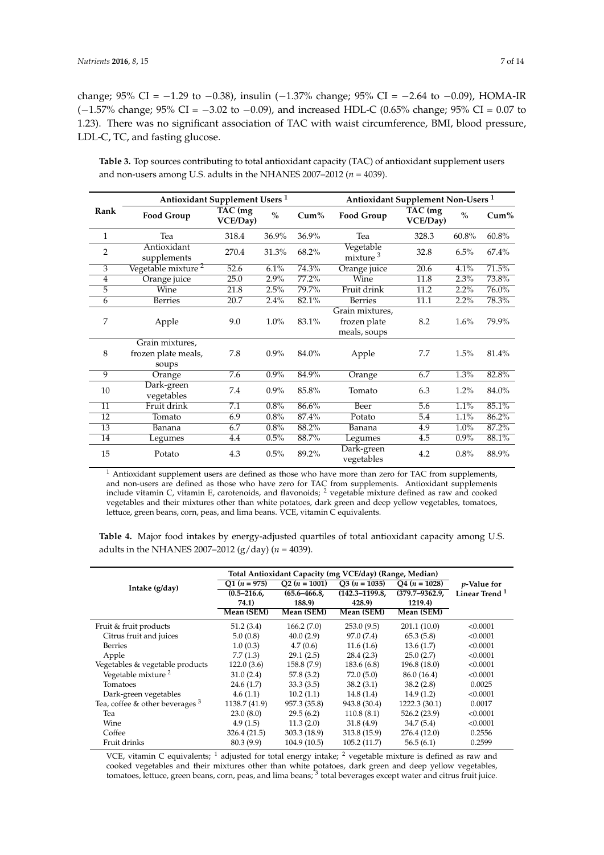<span id="page-6-0"></span>LDL-C, TC, and fasting glucose.

change; 95% CI =  $-1.29$  to  $-0.38$ ), insulin ( $-1.37$ % change; 95% CI =  $-2.64$  to  $-0.09$ ), HOMA-IR  $(-1.57\%$  change; 95% CI =  $-3.02$  to  $-0.09$ ), and increased HDL-C (0.65% change; 95% CI = 0.07 to 1.23). There was no significant association of TAC with waist circumference, BMI, blood pressure,

**Table 3.** Top sources contributing to total antioxidant capacity (TAC) of antioxidant supplement users and non-users among U.S. adults in the NHANES 2007–2012 ( $n = 4039$ ).

|                 | Antioxidant Supplement Users <sup>1</sup>       |                     |               |         | Antioxidant Supplement Non-Users <sup>1</sup>   |                     |               |          |  |
|-----------------|-------------------------------------------------|---------------------|---------------|---------|-------------------------------------------------|---------------------|---------------|----------|--|
| Rank            | <b>Food Group</b>                               | TAC (mg<br>VCE/Day) | $\frac{0}{0}$ | $Cum\%$ | Food Group                                      | TAC (mg<br>VCE/Day) | $\frac{0}{0}$ | $Cum\%$  |  |
| $\mathbf{1}$    | Tea                                             | 318.4               | 36.9%         | 36.9%   | Tea                                             | 328.3               | 60.8%         | 60.8%    |  |
| $\overline{2}$  | Antioxidant<br>supplements                      | 270.4               | 31.3%         | 68.2%   | Vegetable<br>mixture <sup>3</sup>               | 32.8                | 6.5%          | 67.4%    |  |
| 3               | Vegetable mixture <sup>2</sup>                  | 52.6                | 6.1%          | 74.3%   | Orange juice                                    | 20.6                | 4.1%          | 71.5%    |  |
| $\overline{4}$  | Orange juice                                    | 25.0                | 2.9%          | 77.2%   | Wine                                            | 11.8                | 2.3%          | 73.8%    |  |
| 5               | Wine                                            | 21.8                | 2.5%          | 79.7%   | Fruit drink                                     | 11.2                | 2.2%          | $76.0\%$ |  |
| 6               | <b>Berries</b>                                  | 20.7                | 2.4%          | 82.1%   | <b>Berries</b>                                  | 11.1                | 2.2%          | 78.3%    |  |
| 7               | Apple                                           | 9.0                 | $1.0\%$       | 83.1%   | Grain mixtures,<br>frozen plate<br>meals, soups | 8.2                 | 1.6%          | 79.9%    |  |
| 8               | Grain mixtures,<br>frozen plate meals,<br>soups | 7.8                 | $0.9\%$       | 84.0%   | Apple                                           | 7.7                 | 1.5%          | 81.4%    |  |
| 9               | Orange                                          | 7.6                 | 0.9%          | 84.9%   | Orange                                          | 6.7                 | 1.3%          | 82.8%    |  |
| 10              | Dark-green<br>vegetables                        | 7.4                 | $0.9\%$       | 85.8%   | Tomato                                          | 6.3                 | 1.2%          | 84.0%    |  |
| 11              | Fruit drink                                     | 7.1                 | 0.8%          | 86.6%   | Beer                                            | $\overline{5.6}$    | 1.1%          | 85.1%    |  |
| $\overline{12}$ | Tomato                                          | 6.9                 | 0.8%          | 87.4%   | Potato                                          | $\overline{5.4}$    | 1.1%          | 86.2%    |  |
| 13              | Banana                                          | 6.7                 | 0.8%          | 88.2%   | Banana                                          | 4.9                 | 1.0%          | 87.2%    |  |
| 14              | Legumes                                         | 4.4                 | 0.5%          | 88.7%   | Legumes                                         | 4.5                 | $0.9\%$       | 88.1%    |  |
| 15              | Potato                                          | 4.3                 | 0.5%          | 89.2%   | Dark-green<br>vegetables                        | 4.2                 | 0.8%          | 88.9%    |  |

 $<sup>1</sup>$  Antioxidant supplement users are defined as those who have more than zero for TAC from supplements,</sup> and non-users are defined as those who have zero for TAC from supplements. Antioxidant supplements include vitamin C, vitamin E, carotenoids, and flavonoids;  $^2$  vegetable mixture defined as raw and cooked vegetables and their mixtures other than white potatoes, dark green and deep yellow vegetables, tomatoes, lettuce, green beans, corn, peas, and lima beans. VCE, vitamin C equivalents.

<span id="page-6-1"></span>**Table 4.** Major food intakes by energy-adjusted quartiles of total antioxidant capacity among U.S. adults in the NHANES 2007–2012 (g/day) (*n* = 4039).

|                                   | Total Antioxidant Capacity (mg VCE/day) (Range, Median) |                  |                    |                    |                           |
|-----------------------------------|---------------------------------------------------------|------------------|--------------------|--------------------|---------------------------|
| Intake (g/day)                    | $Q1 (n = 975)$                                          | $Q2 (n = 1001)$  | $Q3 (n = 1035)$    | $Q4 (n = 1028)$    | <i>p</i> -Value for       |
|                                   | $(0.5 - 216.6,$                                         | $(65.6 - 466.8,$ | $(142.3 - 1199.8,$ | $(379.7 - 9362.9)$ | Linear Trend <sup>1</sup> |
|                                   | 74.1)                                                   | 188.9)           | 428.9)             | 1219.4)            |                           |
|                                   | Mean (SEM)                                              | Mean (SEM)       | Mean (SEM)         | Mean (SEM)         |                           |
| Fruit & fruit products            | 51.2(3.4)                                               | 166.2(7.0)       | 253.0(9.5)         | 201.1(10.0)        | < 0.0001                  |
| Citrus fruit and juices           | 5.0(0.8)                                                | 40.0(2.9)        | 97.0 (7.4)         | 65.3(5.8)          | < 0.0001                  |
| <b>Berries</b>                    | 1.0(0.3)                                                | 4.7(0.6)         | 11.6(1.6)          | 13.6(1.7)          | < 0.0001                  |
| Apple                             | 7.7(1.3)                                                | 29.1(2.5)        | 28.4(2.3)          | 25.0(2.7)          | < 0.0001                  |
| Vegetables & vegetable products   | 122.0(3.6)                                              | 158.8 (7.9)      | 183.6 (6.8)        | 196.8 (18.0)       | < 0.0001                  |
| Vegetable mixture <sup>2</sup>    | 31.0(2.4)                                               | 57.8(3.2)        | 72.0(5.0)          | 86.0 (16.4)        | < 0.0001                  |
| Tomatoes                          | 24.6(1.7)                                               | 33.3(3.5)        | 38.2(3.1)          | 38.2(2.8)          | 0.0025                    |
| Dark-green vegetables             | 4.6(1.1)                                                | 10.2(1.1)        | 14.8(1.4)          | 14.9(1.2)          | < 0.0001                  |
| Tea, coffee & other beverages $3$ | 1138.7 (41.9)                                           | 957.3 (35.8)     | 943.8 (30.4)       | 1222.3 (30.1)      | 0.0017                    |
| Tea                               | 23.0(8.0)                                               | 29.5(6.2)        | 110.8(8.1)         | 526.2 (23.9)       | < 0.0001                  |
| Wine                              | 4.9(1.5)                                                | 11.3(2.0)        | 31.8(4.9)          | 34.7 (5.4)         | < 0.0001                  |
| Coffee                            | 326.4 (21.5)                                            | 303.3(18.9)      | 313.8 (15.9)       | 276.4 (12.0)       | 0.2556                    |
| Fruit drinks                      | 80.3 (9.9)                                              | 104.9(10.5)      | 105.2(11.7)        | 56.5(6.1)          | 0.2599                    |

VCE, vitamin C equivalents; <sup>1</sup> adjusted for total energy intake; <sup>2</sup> vegetable mixture is defined as raw and cooked vegetables and their mixtures other than white potatoes, dark green and deep yellow vegetables, tomatoes, lettuce, green beans, corn, peas, and lima beans; <sup>3</sup> total beverages except water and citrus fruit juice.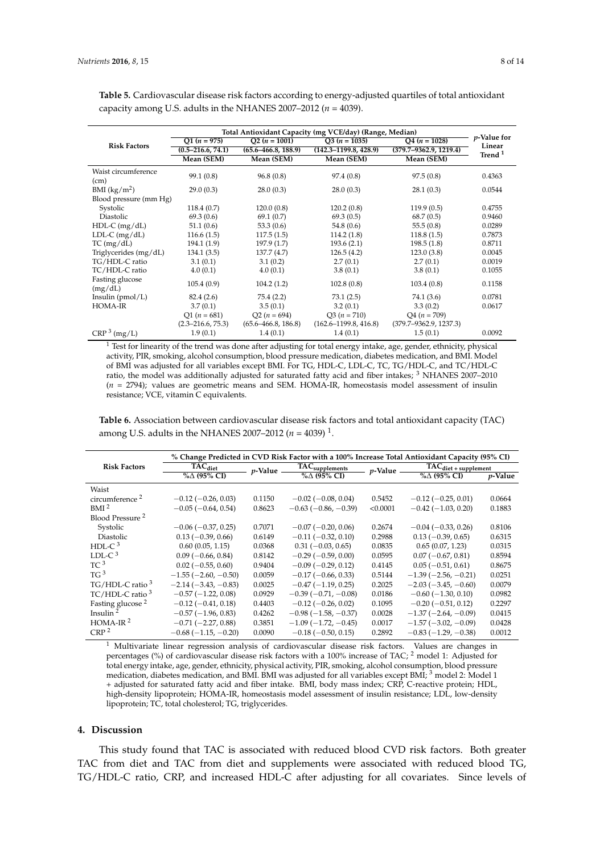|                             | Total Antioxidant Capacity (mg VCE/day) (Range, Median) |                         |                           |                            |                              |  |  |  |
|-----------------------------|---------------------------------------------------------|-------------------------|---------------------------|----------------------------|------------------------------|--|--|--|
|                             | $Q1 (n = 975)$                                          | $Q2 (n = 1001)$         | $Q3 (n = 1035)$           | $Q4 (n = 1028)$            | <i>p</i> -Value for          |  |  |  |
| <b>Risk Factors</b>         | $(0.5 - 216.6, 74.1)$                                   | $(65.6 - 466.8, 188.9)$ | $(142.3 - 1199.8, 428.9)$ | $(379.7 - 9362.9, 1219.4)$ | Linear<br>Trend <sup>1</sup> |  |  |  |
|                             | Mean (SEM)                                              | Mean (SEM)              | Mean (SEM)                | Mean (SEM)                 |                              |  |  |  |
| Waist circumference<br>(cm) | 99.1(0.8)                                               | 96.8(0.8)               | 97.4(0.8)                 | 97.5(0.8)                  | 0.4363                       |  |  |  |
| BMI $(kg/m^2)$              | 29.0(0.3)                                               | 28.0(0.3)               | 28.0(0.3)                 | 28.1(0.3)                  | 0.0544                       |  |  |  |
| Blood pressure (mm Hg)      |                                                         |                         |                           |                            |                              |  |  |  |
| Systolic                    | 118.4(0.7)                                              | 120.0(0.8)              | 120.2(0.8)                | 119.9(0.5)                 | 0.4755                       |  |  |  |
| Diastolic                   | 69.3(0.6)                                               | 69.1(0.7)               | 69.3(0.5)                 | 68.7(0.5)                  | 0.9460                       |  |  |  |
| $HDL-C$ (mg/dL)             | 51.1(0.6)                                               | 53.3 $(0.6)$            | 54.8 $(0.6)$              | 55.5(0.8)                  | 0.0289                       |  |  |  |
| LDL-C $(mg/dL)$             | 116.6(1.5)                                              | 117.5(1.5)              | 114.2(1.8)                | 118.8(1.5)                 | 0.7873                       |  |  |  |
| TC (mg/dL)                  | 194.1(1.9)                                              | 197.9(1.7)              | 193.6(2.1)                | 198.5(1.8)                 | 0.8711                       |  |  |  |
| Triglycerides (mg/dL)       | 134.1(3.5)                                              | 137.7(4.7)              | 126.5(4.2)                | 123.0(3.8)                 | 0.0045                       |  |  |  |
| TG/HDL-C ratio              | 3.1(0.1)                                                | 3.1(0.2)                | 2.7(0.1)                  | 2.7(0.1)                   | 0.0019                       |  |  |  |
| TC/HDL-C ratio              | 4.0(0.1)                                                | 4.0(0.1)                | 3.8(0.1)                  | 3.8(0.1)                   | 0.1055                       |  |  |  |
| Fasting glucose<br>(mg/dL)  | 105.4(0.9)                                              | 104.2(1.2)              | 102.8(0.8)                | 103.4(0.8)                 | 0.1158                       |  |  |  |
| Insulin $(pmol/L)$          | 82.4(2.6)                                               | 75.4(2.2)               | 73.1(2.5)                 | 74.1 (3.6)                 | 0.0781                       |  |  |  |
| HOMA-IR                     | 3.7(0.1)                                                | 3.5(0.1)                | 3.2(0.1)                  | 3.3(0.2)                   | 0.0617                       |  |  |  |
|                             | $Q1(n = 681)$                                           | $Q2 (n = 694)$          | $Q3 (n = 710)$            | $Q4 (n = 709)$             |                              |  |  |  |
|                             | $(2.3 - 216.6, 75.3)$                                   | $(65.6 - 466.8, 186.8)$ | $(162.6 - 1199.8, 416.8)$ | $(379.7 - 9362.9, 1237.3)$ |                              |  |  |  |
| CRP <sup>3</sup> (mg/L)     | 1.9(0.1)                                                | 1.4(0.1)                | 1.4(0.1)                  | 1.5(0.1)                   | 0.0092                       |  |  |  |

<span id="page-7-0"></span>**Table 5.** Cardiovascular disease risk factors according to energy-adjusted quartiles of total antioxidant capacity among U.S. adults in the NHANES 2007–2012 ( $n = 4039$ ).

 $1$  Test for linearity of the trend was done after adjusting for total energy intake, age, gender, ethnicity, physical activity, PIR, smoking, alcohol consumption, blood pressure medication, diabetes medication, and BMI. Model of BMI was adjusted for all variables except BMI. For TG, HDL-C, LDL-C, TC, TG/HDL-C, and TC/HDL-C ratio, the model was additionally adjusted for saturated fatty acid and fiber intakes; <sup>3</sup> NHANES 2007–2010 (*n* = 2794); values are geometric means and SEM. HOMA-IR, homeostasis model assessment of insulin resistance; VCE, vitamin C equivalents.

<span id="page-7-1"></span>**Table 6.** Association between cardiovascular disease risk factors and total antioxidant capacity (TAC) among U.S. adults in the NHANES 2007–2012 ( $n = 4039)$   $^1$ .

|                              |                             |                 | % Change Predicted in CVD Risk Factor with a 100% Increase Total Antioxidant Capacity (95% CI) |                 |                           |                                                           |  |
|------------------------------|-----------------------------|-----------------|------------------------------------------------------------------------------------------------|-----------------|---------------------------|-----------------------------------------------------------|--|
| <b>Risk Factors</b>          | $TAC_{\text{diet}}$         | <i>p</i> -Value | TAC <sub>supplements</sub>                                                                     | <i>p</i> -Value |                           | $\overline{\text{TA}}\text{C}_{\text{diet + supplement}}$ |  |
|                              | %∆ (95% CI)                 |                 | $%$ $\triangle$ (95% CI)                                                                       |                 | %∆ (95% CI)               | <i>p</i> -Value                                           |  |
| Waist                        |                             |                 |                                                                                                |                 |                           |                                                           |  |
| circumference <sup>2</sup>   | $-0.12$ ( $-0.26$ , 0.03)   | 0.1150          | $-0.02(-0.08, 0.04)$                                                                           | 0.5452          | $-0.12$ ( $-0.25$ , 0.01) | 0.0664                                                    |  |
| BMI <sup>2</sup>             | $-0.05(-0.64, 0.54)$        | 0.8623          | $-0.63(-0.86, -0.39)$                                                                          | < 0.0001        | $-0.42(-1.03, 0.20)$      | 0.1883                                                    |  |
| Blood Pressure <sup>2</sup>  |                             |                 |                                                                                                |                 |                           |                                                           |  |
| Systolic                     | $-0.06$ ( $-0.37$ , 0.25)   | 0.7071          | $-0.07$ ( $-0.20$ , 0.06)                                                                      | 0.2674          | $-0.04(-0.33, 0.26)$      | 0.8106                                                    |  |
| Diastolic                    | $0.13(-0.39, 0.66)$         | 0.6149          | $-0.11(-0.32, 0.10)$                                                                           | 0.2988          | $0.13(-0.39, 0.65)$       | 0.6315                                                    |  |
| HDL-C $3$                    | 0.60(0.05, 1.15)            | 0.0368          | $0.31(-0.03, 0.65)$                                                                            | 0.0835          | 0.65(0.07, 1.23)          | 0.0315                                                    |  |
| LDL-C $^3$                   | $0.09$ ( $-0.66$ , $0.84$ ) | 0.8142          | $-0.29(-0.59, 0.00)$                                                                           | 0.0595          | $0.07(-0.67, 0.81)$       | 0.8594                                                    |  |
| TC <sup>3</sup>              | $0.02$ (-0.55, 0.60)        | 0.9404          | $-0.09$ ( $-0.29$ , 0.12)                                                                      | 0.4145          | $0.05(-0.51, 0.61)$       | 0.8675                                                    |  |
| $TG^3$                       | $-1.55(-2.60, -0.50)$       | 0.0059          | $-0.17(-0.66, 0.33)$                                                                           | 0.5144          | $-1.39(-2.56, -0.21)$     | 0.0251                                                    |  |
| $TG/HDL-C$ ratio $3$         | $-2.14(-3.43,-0.83)$        | 0.0025          | $-0.47(-1.19, 0.25)$                                                                           | 0.2025          | $-2.03(-3.45,-0.60)$      | 0.0079                                                    |  |
| $TC/HDL-C$ ratio $3$         | $-0.57(-1.22, 0.08)$        | 0.0929          | $-0.39(-0.71,-0.08)$                                                                           | 0.0186          | $-0.60$ ( $-1.30$ , 0.10) | 0.0982                                                    |  |
| Fasting glucose <sup>2</sup> | $-0.12$ ( $-0.41$ , 0.18)   | 0.4403          | $-0.12$ ( $-0.26$ , 0.02)                                                                      | 0.1095          | $-0.20$ ( $-0.51$ , 0.12) | 0.2297                                                    |  |
| Insulin $2$                  | $-0.57(-1.96, 0.83)$        | 0.4262          | $-0.98(-1.58,-0.37)$                                                                           | 0.0028          | $-1.37(-2.64, -0.09)$     | 0.0415                                                    |  |
| $HOMA-IR2$                   | $-0.71(-2.27, 0.88)$        | 0.3851          | $-1.09(-1.72,-0.45)$                                                                           | 0.0017          | $-1.57(-3.02, -0.09)$     | 0.0428                                                    |  |
| CRP <sup>2</sup>             | $-0.68(-1.15,-0.20)$        | 0.0090          | $-0.18$ ( $-0.50$ , 0.15)                                                                      | 0.2892          | $-0.83(-1.29,-0.38)$      | 0.0012                                                    |  |

<sup>1</sup> Multivariate linear regression analysis of cardiovascular disease risk factors. Values are changes in percentages (%) of cardiovascular disease risk factors with a 100% increase of TAC;  $^2$  model 1: Adjusted for total energy intake, age, gender, ethnicity, physical activity, PIR, smoking, alcohol consumption, blood pressure medication, diabetes medication, and BMI. BMI was adjusted for all variables except BMI; <sup>3</sup> model 2: Model 1 + adjusted for saturated fatty acid and fiber intake. BMI, body mass index; CRP, C-reactive protein; HDL, high-density lipoprotein; HOMA-IR, homeostasis model assessment of insulin resistance; LDL, low-density lipoprotein; TC, total cholesterol; TG, triglycerides.

## **4. Discussion**

This study found that TAC is associated with reduced blood CVD risk factors. Both greater TAC from diet and TAC from diet and supplements were associated with reduced blood TG, TG/HDL-C ratio, CRP, and increased HDL-C after adjusting for all covariates. Since levels of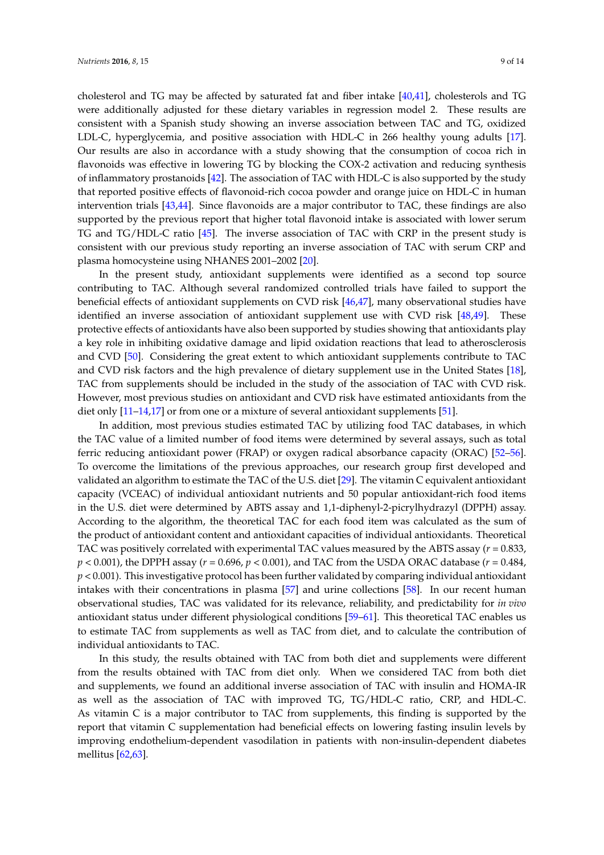cholesterol and TG may be affected by saturated fat and fiber intake [\[40](#page-12-4)[,41\]](#page-12-5), cholesterols and TG were additionally adjusted for these dietary variables in regression model 2. These results are consistent with a Spanish study showing an inverse association between TAC and TG, oxidized LDL-C, hyperglycemia, and positive association with HDL-C in 266 healthy young adults [\[17\]](#page-11-1). Our results are also in accordance with a study showing that the consumption of cocoa rich in flavonoids was effective in lowering TG by blocking the COX-2 activation and reducing synthesis of inflammatory prostanoids [\[42\]](#page-12-6). The association of TAC with HDL-C is also supported by the study that reported positive effects of flavonoid-rich cocoa powder and orange juice on HDL-C in human intervention trials [\[43](#page-12-7)[,44\]](#page-12-8). Since flavonoids are a major contributor to TAC, these findings are also supported by the previous report that higher total flavonoid intake is associated with lower serum TG and TG/HDL-C ratio [\[45\]](#page-12-9). The inverse association of TAC with CRP in the present study is consistent with our previous study reporting an inverse association of TAC with serum CRP and plasma homocysteine using NHANES 2001–2002 [\[20\]](#page-11-4).

In the present study, antioxidant supplements were identified as a second top source contributing to TAC. Although several randomized controlled trials have failed to support the beneficial effects of antioxidant supplements on CVD risk [\[46](#page-12-10)[,47\]](#page-12-11), many observational studies have identified an inverse association of antioxidant supplement use with CVD risk [\[48,](#page-12-12)[49\]](#page-12-13). These protective effects of antioxidants have also been supported by studies showing that antioxidants play a key role in inhibiting oxidative damage and lipid oxidation reactions that lead to atherosclerosis and CVD [\[50\]](#page-12-14). Considering the great extent to which antioxidant supplements contribute to TAC and CVD risk factors and the high prevalence of dietary supplement use in the United States [\[18\]](#page-11-2), TAC from supplements should be included in the study of the association of TAC with CVD risk. However, most previous studies on antioxidant and CVD risk have estimated antioxidants from the diet only [\[11](#page-10-9)[–14](#page-10-11)[,17\]](#page-11-1) or from one or a mixture of several antioxidant supplements [\[51\]](#page-12-15).

In addition, most previous studies estimated TAC by utilizing food TAC databases, in which the TAC value of a limited number of food items were determined by several assays, such as total ferric reducing antioxidant power (FRAP) or oxygen radical absorbance capacity (ORAC) [\[52–](#page-12-16)[56\]](#page-13-0). To overcome the limitations of the previous approaches, our research group first developed and validated an algorithm to estimate the TAC of the U.S. diet [\[29\]](#page-11-12). The vitamin C equivalent antioxidant capacity (VCEAC) of individual antioxidant nutrients and 50 popular antioxidant-rich food items in the U.S. diet were determined by ABTS assay and 1,1-diphenyl-2-picrylhydrazyl (DPPH) assay. According to the algorithm, the theoretical TAC for each food item was calculated as the sum of the product of antioxidant content and antioxidant capacities of individual antioxidants. Theoretical TAC was positively correlated with experimental TAC values measured by the ABTS assay  $(r = 0.833,$ *p* < 0.001), the DPPH assay (*r* = 0.696, *p* < 0.001), and TAC from the USDA ORAC database (*r* = 0.484, *p* < 0.001). This investigative protocol has been further validated by comparing individual antioxidant intakes with their concentrations in plasma [\[57\]](#page-13-1) and urine collections [\[58\]](#page-13-2). In our recent human observational studies, TAC was validated for its relevance, reliability, and predictability for *in vivo* antioxidant status under different physiological conditions [\[59](#page-13-3)[–61\]](#page-13-4). This theoretical TAC enables us to estimate TAC from supplements as well as TAC from diet, and to calculate the contribution of individual antioxidants to TAC.

In this study, the results obtained with TAC from both diet and supplements were different from the results obtained with TAC from diet only. When we considered TAC from both diet and supplements, we found an additional inverse association of TAC with insulin and HOMA-IR as well as the association of TAC with improved TG, TG/HDL-C ratio, CRP, and HDL-C. As vitamin C is a major contributor to TAC from supplements, this finding is supported by the report that vitamin C supplementation had beneficial effects on lowering fasting insulin levels by improving endothelium-dependent vasodilation in patients with non-insulin-dependent diabetes mellitus [\[62,](#page-13-5)[63\]](#page-13-6).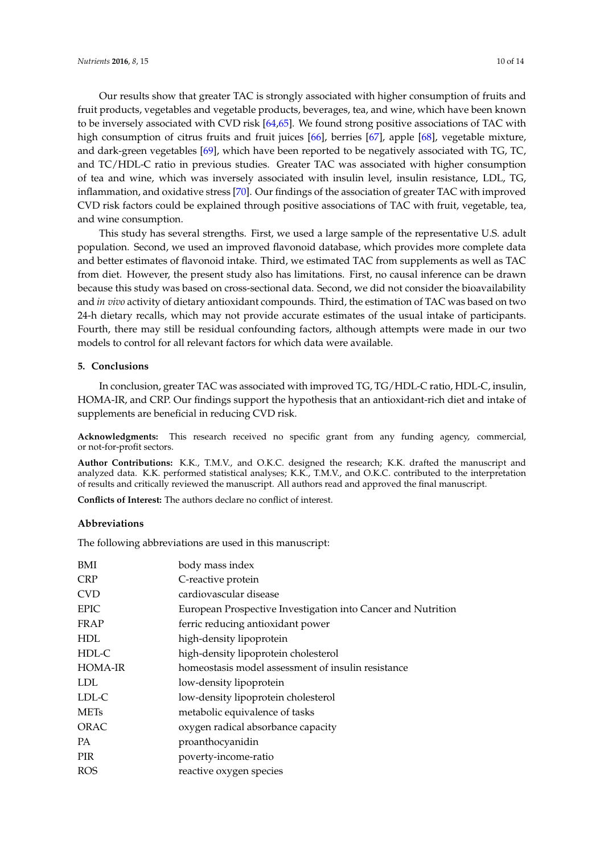Our results show that greater TAC is strongly associated with higher consumption of fruits and fruit products, vegetables and vegetable products, beverages, tea, and wine, which have been known to be inversely associated with CVD risk [\[64](#page-13-7)[,65\]](#page-13-8). We found strong positive associations of TAC with high consumption of citrus fruits and fruit juices [\[66\]](#page-13-9), berries [\[67\]](#page-13-10), apple [\[68\]](#page-13-11), vegetable mixture, and dark-green vegetables [\[69\]](#page-13-12), which have been reported to be negatively associated with TG, TC, and TC/HDL-C ratio in previous studies. Greater TAC was associated with higher consumption of tea and wine, which was inversely associated with insulin level, insulin resistance, LDL, TG, inflammation, and oxidative stress [\[70\]](#page-13-13). Our findings of the association of greater TAC with improved CVD risk factors could be explained through positive associations of TAC with fruit, vegetable, tea, and wine consumption.

This study has several strengths. First, we used a large sample of the representative U.S. adult population. Second, we used an improved flavonoid database, which provides more complete data and better estimates of flavonoid intake. Third, we estimated TAC from supplements as well as TAC from diet. However, the present study also has limitations. First, no causal inference can be drawn because this study was based on cross-sectional data. Second, we did not consider the bioavailability and *in vivo* activity of dietary antioxidant compounds. Third, the estimation of TAC was based on two 24-h dietary recalls, which may not provide accurate estimates of the usual intake of participants. Fourth, there may still be residual confounding factors, although attempts were made in our two models to control for all relevant factors for which data were available.

#### **5. Conclusions**

In conclusion, greater TAC was associated with improved TG, TG/HDL-C ratio, HDL-C, insulin, HOMA-IR, and CRP. Our findings support the hypothesis that an antioxidant-rich diet and intake of supplements are beneficial in reducing CVD risk.

**Acknowledgments:** This research received no specific grant from any funding agency, commercial, or not-for-profit sectors.

**Author Contributions:** K.K., T.M.V., and O.K.C. designed the research; K.K. drafted the manuscript and analyzed data. K.K. performed statistical analyses; K.K., T.M.V., and O.K.C. contributed to the interpretation of results and critically reviewed the manuscript. All authors read and approved the final manuscript.

**Conflicts of Interest:** The authors declare no conflict of interest.

#### **Abbreviations**

The following abbreviations are used in this manuscript:

| BMI     | body mass index                                              |
|---------|--------------------------------------------------------------|
| CRP     | C-reactive protein                                           |
| CVD     | cardiovascular disease                                       |
| EPIC    | European Prospective Investigation into Cancer and Nutrition |
| FRAP    | ferric reducing antioxidant power                            |
| HDL     | high-density lipoprotein                                     |
| HDL-C   | high-density lipoprotein cholesterol                         |
| HOMA-IR | homeostasis model assessment of insulin resistance           |
| LDL     | low-density lipoprotein                                      |
| LDL-C   | low-density lipoprotein cholesterol                          |
| METs    | metabolic equivalence of tasks                               |
| ORAC    | oxygen radical absorbance capacity                           |
| РA      | proanthocyanidin                                             |
| PIR     | poverty-income-ratio                                         |
| ROS     | reactive oxygen species                                      |
|         |                                                              |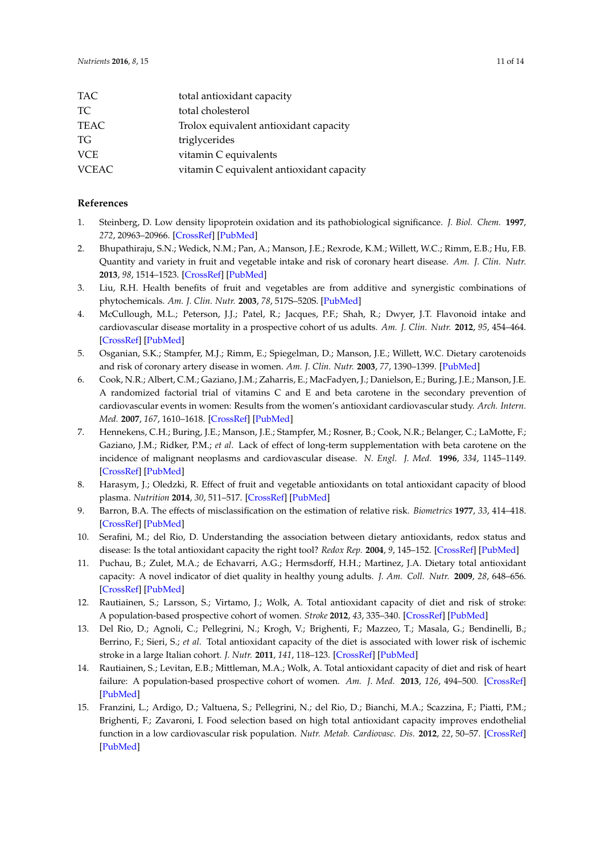| <b>TAC</b>   | total antioxidant capacity                |
|--------------|-------------------------------------------|
| TC.          | total cholesterol                         |
| TEAC         | Trolox equivalent antioxidant capacity    |
| TG.          | triglycerides                             |
| <b>VCE</b>   | vitamin C equivalents                     |
| <b>VCEAC</b> | vitamin C equivalent antioxidant capacity |

## **References**

- <span id="page-10-0"></span>1. Steinberg, D. Low density lipoprotein oxidation and its pathobiological significance. *J. Biol. Chem.* **1997**, *272*, 20963–20966. [\[CrossRef\]](http://dx.doi.org/10.1074/jbc.272.34.20963) [\[PubMed\]](http://www.ncbi.nlm.nih.gov/pubmed/9261091)
- <span id="page-10-1"></span>2. Bhupathiraju, S.N.; Wedick, N.M.; Pan, A.; Manson, J.E.; Rexrode, K.M.; Willett, W.C.; Rimm, E.B.; Hu, F.B. Quantity and variety in fruit and vegetable intake and risk of coronary heart disease. *Am. J. Clin. Nutr.* **2013**, *98*, 1514–1523. [\[CrossRef\]](http://dx.doi.org/10.3945/ajcn.113.066381) [\[PubMed\]](http://www.ncbi.nlm.nih.gov/pubmed/24088718)
- <span id="page-10-2"></span>3. Liu, R.H. Health benefits of fruit and vegetables are from additive and synergistic combinations of phytochemicals. *Am. J. Clin. Nutr.* **2003**, *78*, 517S–520S. [\[PubMed\]](http://www.ncbi.nlm.nih.gov/pubmed/12936943)
- 4. McCullough, M.L.; Peterson, J.J.; Patel, R.; Jacques, P.F.; Shah, R.; Dwyer, J.T. Flavonoid intake and cardiovascular disease mortality in a prospective cohort of us adults. *Am. J. Clin. Nutr.* **2012**, *95*, 454–464. [\[CrossRef\]](http://dx.doi.org/10.3945/ajcn.111.016634) [\[PubMed\]](http://www.ncbi.nlm.nih.gov/pubmed/22218162)
- <span id="page-10-3"></span>5. Osganian, S.K.; Stampfer, M.J.; Rimm, E.; Spiegelman, D.; Manson, J.E.; Willett, W.C. Dietary carotenoids and risk of coronary artery disease in women. *Am. J. Clin. Nutr.* **2003**, *77*, 1390–1399. [\[PubMed\]](http://www.ncbi.nlm.nih.gov/pubmed/12791615)
- <span id="page-10-4"></span>6. Cook, N.R.; Albert, C.M.; Gaziano, J.M.; Zaharris, E.; MacFadyen, J.; Danielson, E.; Buring, J.E.; Manson, J.E. A randomized factorial trial of vitamins C and E and beta carotene in the secondary prevention of cardiovascular events in women: Results from the women's antioxidant cardiovascular study. *Arch. Intern. Med.* **2007**, *167*, 1610–1618. [\[CrossRef\]](http://dx.doi.org/10.1001/archinte.167.15.1610) [\[PubMed\]](http://www.ncbi.nlm.nih.gov/pubmed/17698683)
- <span id="page-10-5"></span>7. Hennekens, C.H.; Buring, J.E.; Manson, J.E.; Stampfer, M.; Rosner, B.; Cook, N.R.; Belanger, C.; LaMotte, F.; Gaziano, J.M.; Ridker, P.M.; *et al*. Lack of effect of long-term supplementation with beta carotene on the incidence of malignant neoplasms and cardiovascular disease. *N. Engl. J. Med.* **1996**, *334*, 1145–1149. [\[CrossRef\]](http://dx.doi.org/10.1056/NEJM199605023341801) [\[PubMed\]](http://www.ncbi.nlm.nih.gov/pubmed/8602179)
- <span id="page-10-6"></span>8. Harasym, J.; Oledzki, R. Effect of fruit and vegetable antioxidants on total antioxidant capacity of blood plasma. *Nutrition* **2014**, *30*, 511–517. [\[CrossRef\]](http://dx.doi.org/10.1016/j.nut.2013.08.019) [\[PubMed\]](http://www.ncbi.nlm.nih.gov/pubmed/24698344)
- <span id="page-10-7"></span>9. Barron, B.A. The effects of misclassification on the estimation of relative risk. *Biometrics* **1977**, *33*, 414–418. [\[CrossRef\]](http://dx.doi.org/10.2307/2529795) [\[PubMed\]](http://www.ncbi.nlm.nih.gov/pubmed/884199)
- <span id="page-10-8"></span>10. Serafini, M.; del Rio, D. Understanding the association between dietary antioxidants, redox status and disease: Is the total antioxidant capacity the right tool? *Redox Rep.* **2004**, *9*, 145–152. [\[CrossRef\]](http://dx.doi.org/10.1179/135100004225004814) [\[PubMed\]](http://www.ncbi.nlm.nih.gov/pubmed/15327744)
- <span id="page-10-9"></span>11. Puchau, B.; Zulet, M.A.; de Echavarri, A.G.; Hermsdorff, H.H.; Martinez, J.A. Dietary total antioxidant capacity: A novel indicator of diet quality in healthy young adults. *J. Am. Coll. Nutr.* **2009**, *28*, 648–656. [\[CrossRef\]](http://dx.doi.org/10.1080/07315724.2009.10719797) [\[PubMed\]](http://www.ncbi.nlm.nih.gov/pubmed/20516264)
- <span id="page-10-10"></span>12. Rautiainen, S.; Larsson, S.; Virtamo, J.; Wolk, A. Total antioxidant capacity of diet and risk of stroke: A population-based prospective cohort of women. *Stroke* **2012**, *43*, 335–340. [\[CrossRef\]](http://dx.doi.org/10.1161/STROKEAHA.111.635557) [\[PubMed\]](http://www.ncbi.nlm.nih.gov/pubmed/22135074)
- <span id="page-10-12"></span>13. Del Rio, D.; Agnoli, C.; Pellegrini, N.; Krogh, V.; Brighenti, F.; Mazzeo, T.; Masala, G.; Bendinelli, B.; Berrino, F.; Sieri, S.; *et al*. Total antioxidant capacity of the diet is associated with lower risk of ischemic stroke in a large Italian cohort. *J. Nutr.* **2011**, *141*, 118–123. [\[CrossRef\]](http://dx.doi.org/10.3945/jn.110.125120) [\[PubMed\]](http://www.ncbi.nlm.nih.gov/pubmed/21106923)
- <span id="page-10-11"></span>14. Rautiainen, S.; Levitan, E.B.; Mittleman, M.A.; Wolk, A. Total antioxidant capacity of diet and risk of heart failure: A population-based prospective cohort of women. *Am. J. Med.* **2013**, *126*, 494–500. [\[CrossRef\]](http://dx.doi.org/10.1016/j.amjmed.2013.01.006) [\[PubMed\]](http://www.ncbi.nlm.nih.gov/pubmed/23561629)
- <span id="page-10-13"></span>15. Franzini, L.; Ardigo, D.; Valtuena, S.; Pellegrini, N.; del Rio, D.; Bianchi, M.A.; Scazzina, F.; Piatti, P.M.; Brighenti, F.; Zavaroni, I. Food selection based on high total antioxidant capacity improves endothelial function in a low cardiovascular risk population. *Nutr. Metab. Cardiovasc. Dis.* **2012**, *22*, 50–57. [\[CrossRef\]](http://dx.doi.org/10.1016/j.numecd.2010.04.001) [\[PubMed\]](http://www.ncbi.nlm.nih.gov/pubmed/20674303)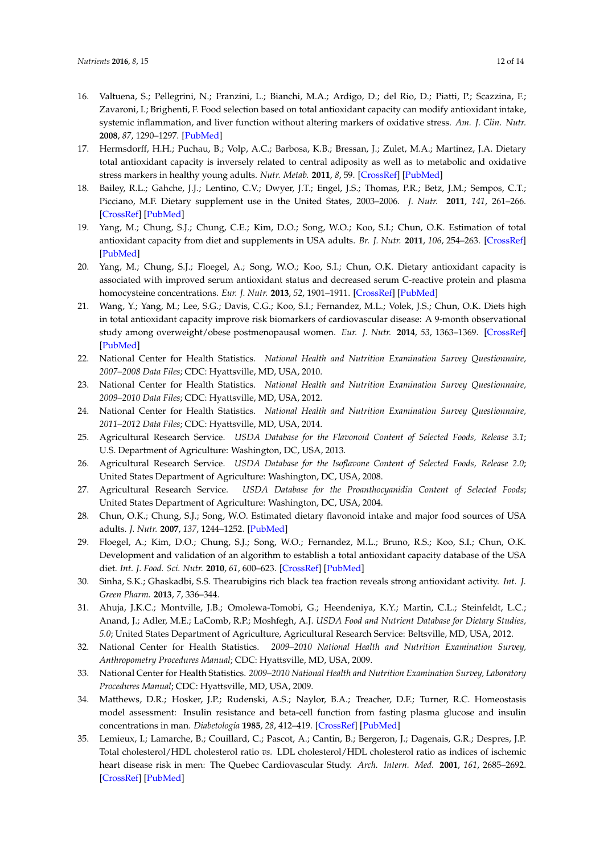- <span id="page-11-0"></span>16. Valtuena, S.; Pellegrini, N.; Franzini, L.; Bianchi, M.A.; Ardigo, D.; del Rio, D.; Piatti, P.; Scazzina, F.; Zavaroni, I.; Brighenti, F. Food selection based on total antioxidant capacity can modify antioxidant intake, systemic inflammation, and liver function without altering markers of oxidative stress. *Am. J. Clin. Nutr.* **2008**, *87*, 1290–1297. [\[PubMed\]](http://www.ncbi.nlm.nih.gov/pubmed/18469252)
- <span id="page-11-1"></span>17. Hermsdorff, H.H.; Puchau, B.; Volp, A.C.; Barbosa, K.B.; Bressan, J.; Zulet, M.A.; Martinez, J.A. Dietary total antioxidant capacity is inversely related to central adiposity as well as to metabolic and oxidative stress markers in healthy young adults. *Nutr. Metab.* **2011**, *8*, 59. [\[CrossRef\]](http://dx.doi.org/10.1186/1743-7075-8-59) [\[PubMed\]](http://www.ncbi.nlm.nih.gov/pubmed/21859453)
- <span id="page-11-2"></span>18. Bailey, R.L.; Gahche, J.J.; Lentino, C.V.; Dwyer, J.T.; Engel, J.S.; Thomas, P.R.; Betz, J.M.; Sempos, C.T.; Picciano, M.F. Dietary supplement use in the United States, 2003–2006. *J. Nutr.* **2011**, *141*, 261–266. [\[CrossRef\]](http://dx.doi.org/10.3945/jn.110.133025) [\[PubMed\]](http://www.ncbi.nlm.nih.gov/pubmed/21178089)
- <span id="page-11-3"></span>19. Yang, M.; Chung, S.J.; Chung, C.E.; Kim, D.O.; Song, W.O.; Koo, S.I.; Chun, O.K. Estimation of total antioxidant capacity from diet and supplements in USA adults. *Br. J. Nutr.* **2011**, *106*, 254–263. [\[CrossRef\]](http://dx.doi.org/10.1017/S0007114511000109) [\[PubMed\]](http://www.ncbi.nlm.nih.gov/pubmed/21320369)
- <span id="page-11-4"></span>20. Yang, M.; Chung, S.J.; Floegel, A.; Song, W.O.; Koo, S.I.; Chun, O.K. Dietary antioxidant capacity is associated with improved serum antioxidant status and decreased serum C-reactive protein and plasma homocysteine concentrations. *Eur. J. Nutr.* **2013**, *52*, 1901–1911. [\[CrossRef\]](http://dx.doi.org/10.1007/s00394-012-0491-5) [\[PubMed\]](http://www.ncbi.nlm.nih.gov/pubmed/23287847)
- <span id="page-11-5"></span>21. Wang, Y.; Yang, M.; Lee, S.G.; Davis, C.G.; Koo, S.I.; Fernandez, M.L.; Volek, J.S.; Chun, O.K. Diets high in total antioxidant capacity improve risk biomarkers of cardiovascular disease: A 9-month observational study among overweight/obese postmenopausal women. *Eur. J. Nutr.* **2014**, *53*, 1363–1369. [\[CrossRef\]](http://dx.doi.org/10.1007/s00394-013-0637-0) [\[PubMed\]](http://www.ncbi.nlm.nih.gov/pubmed/24343299)
- <span id="page-11-6"></span>22. National Center for Health Statistics. *National Health and Nutrition Examination Survey Questionnaire, 2007–2008 Data Files*; CDC: Hyattsville, MD, USA, 2010.
- 23. National Center for Health Statistics. *National Health and Nutrition Examination Survey Questionnaire, 2009–2010 Data Files*; CDC: Hyattsville, MD, USA, 2012.
- <span id="page-11-7"></span>24. National Center for Health Statistics. *National Health and Nutrition Examination Survey Questionnaire, 2011–2012 Data Files*; CDC: Hyattsville, MD, USA, 2014.
- <span id="page-11-8"></span>25. Agricultural Research Service. *USDA Database for the Flavonoid Content of Selected Foods, Release 3.1*; U.S. Department of Agriculture: Washington, DC, USA, 2013.
- <span id="page-11-9"></span>26. Agricultural Research Service. *USDA Database for the Isoflavone Content of Selected Foods, Release 2.0*; United States Department of Agriculture: Washington, DC, USA, 2008.
- <span id="page-11-10"></span>27. Agricultural Research Service. *USDA Database for the Proanthocyanidin Content of Selected Foods*; United States Department of Agriculture: Washington, DC, USA, 2004.
- <span id="page-11-11"></span>28. Chun, O.K.; Chung, S.J.; Song, W.O. Estimated dietary flavonoid intake and major food sources of USA adults. *J. Nutr.* **2007**, *137*, 1244–1252. [\[PubMed\]](http://www.ncbi.nlm.nih.gov/pubmed/17449588)
- <span id="page-11-12"></span>29. Floegel, A.; Kim, D.O.; Chung, S.J.; Song, W.O.; Fernandez, M.L.; Bruno, R.S.; Koo, S.I.; Chun, O.K. Development and validation of an algorithm to establish a total antioxidant capacity database of the USA diet. *Int. J. Food. Sci. Nutr.* **2010**, *61*, 600–623. [\[CrossRef\]](http://dx.doi.org/10.3109/09637481003670816) [\[PubMed\]](http://www.ncbi.nlm.nih.gov/pubmed/20377495)
- <span id="page-11-13"></span>30. Sinha, S.K.; Ghaskadbi, S.S. Thearubigins rich black tea fraction reveals strong antioxidant activity. *Int. J. Green Pharm.* **2013**, *7*, 336–344.
- <span id="page-11-14"></span>31. Ahuja, J.K.C.; Montville, J.B.; Omolewa-Tomobi, G.; Heendeniya, K.Y.; Martin, C.L.; Steinfeldt, L.C.; Anand, J.; Adler, M.E.; LaComb, R.P.; Moshfegh, A.J. *USDA Food and Nutrient Database for Dietary Studies, 5.0*; United States Department of Agriculture, Agricultural Research Service: Beltsville, MD, USA, 2012.
- <span id="page-11-15"></span>32. National Center for Health Statistics. *2009–2010 National Health and Nutrition Examination Survey, Anthropometry Procedures Manual*; CDC: Hyattsville, MD, USA, 2009.
- <span id="page-11-16"></span>33. National Center for Health Statistics. *2009–2010 National Health and Nutrition Examination Survey, Laboratory Procedures Manual*; CDC: Hyattsville, MD, USA, 2009.
- <span id="page-11-17"></span>34. Matthews, D.R.; Hosker, J.P.; Rudenski, A.S.; Naylor, B.A.; Treacher, D.F.; Turner, R.C. Homeostasis model assessment: Insulin resistance and beta-cell function from fasting plasma glucose and insulin concentrations in man. *Diabetologia* **1985**, *28*, 412–419. [\[CrossRef\]](http://dx.doi.org/10.1007/BF00280883) [\[PubMed\]](http://www.ncbi.nlm.nih.gov/pubmed/3899825)
- <span id="page-11-18"></span>35. Lemieux, I.; Lamarche, B.; Couillard, C.; Pascot, A.; Cantin, B.; Bergeron, J.; Dagenais, G.R.; Despres, J.P. Total cholesterol/HDL cholesterol ratio *vs.* LDL cholesterol/HDL cholesterol ratio as indices of ischemic heart disease risk in men: The Quebec Cardiovascular Study. *Arch. Intern. Med.* **2001**, *161*, 2685–2692. [\[CrossRef\]](http://dx.doi.org/10.1001/archinte.161.22.2685) [\[PubMed\]](http://www.ncbi.nlm.nih.gov/pubmed/11732933)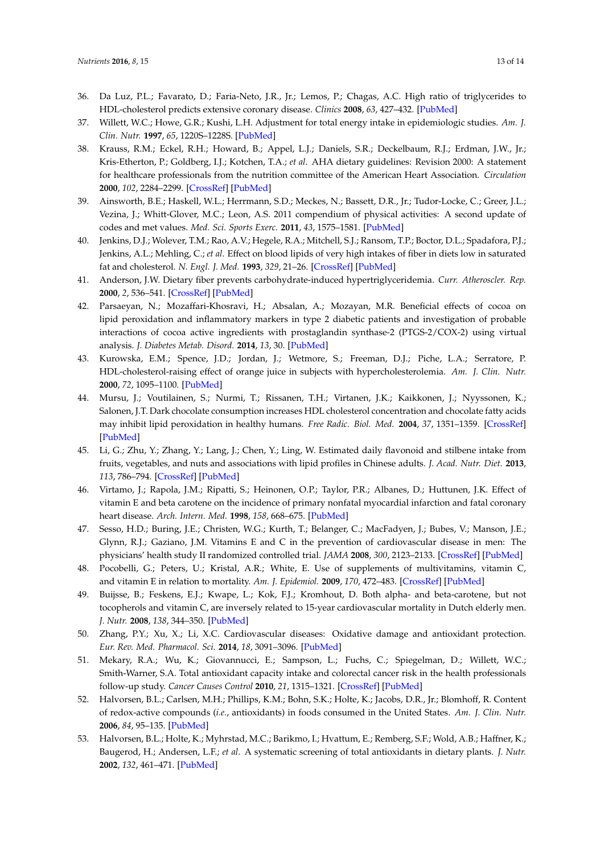- <span id="page-12-0"></span>36. Da Luz, P.L.; Favarato, D.; Faria-Neto, J.R., Jr.; Lemos, P.; Chagas, A.C. High ratio of triglycerides to HDL-cholesterol predicts extensive coronary disease. *Clinics* **2008**, *63*, 427–432. [\[PubMed\]](http://www.ncbi.nlm.nih.gov/pubmed/18719750)
- <span id="page-12-1"></span>37. Willett, W.C.; Howe, G.R.; Kushi, L.H. Adjustment for total energy intake in epidemiologic studies. *Am. J. Clin. Nutr.* **1997**, *65*, 1220S–1228S. [\[PubMed\]](http://www.ncbi.nlm.nih.gov/pubmed/9094926)
- <span id="page-12-2"></span>38. Krauss, R.M.; Eckel, R.H.; Howard, B.; Appel, L.J.; Daniels, S.R.; Deckelbaum, R.J.; Erdman, J.W., Jr.; Kris-Etherton, P.; Goldberg, I.J.; Kotchen, T.A.; *et al*. AHA dietary guidelines: Revision 2000: A statement for healthcare professionals from the nutrition committee of the American Heart Association. *Circulation* **2000**, *102*, 2284–2299. [\[CrossRef\]](http://dx.doi.org/10.1161/01.CIR.102.18.2284) [\[PubMed\]](http://www.ncbi.nlm.nih.gov/pubmed/11056107)
- <span id="page-12-3"></span>39. Ainsworth, B.E.; Haskell, W.L.; Herrmann, S.D.; Meckes, N.; Bassett, D.R., Jr.; Tudor-Locke, C.; Greer, J.L.; Vezina, J.; Whitt-Glover, M.C.; Leon, A.S. 2011 compendium of physical activities: A second update of codes and met values. *Med. Sci. Sports Exerc.* **2011**, *43*, 1575–1581. [\[PubMed\]](http://www.ncbi.nlm.nih.gov/pubmed/21681120)
- <span id="page-12-4"></span>40. Jenkins, D.J.; Wolever, T.M.; Rao, A.V.; Hegele, R.A.; Mitchell, S.J.; Ransom, T.P.; Boctor, D.L.; Spadafora, P.J.; Jenkins, A.L.; Mehling, C.; *et al*. Effect on blood lipids of very high intakes of fiber in diets low in saturated fat and cholesterol. *N. Engl. J. Med.* **1993**, *329*, 21–26. [\[CrossRef\]](http://dx.doi.org/10.1056/NEJM199307013290104) [\[PubMed\]](http://www.ncbi.nlm.nih.gov/pubmed/8389421)
- <span id="page-12-5"></span>41. Anderson, J.W. Dietary fiber prevents carbohydrate-induced hypertriglyceridemia. *Curr. Atheroscler. Rep.* **2000**, *2*, 536–541. [\[CrossRef\]](http://dx.doi.org/10.1007/s11883-000-0055-7) [\[PubMed\]](http://www.ncbi.nlm.nih.gov/pubmed/11122790)
- <span id="page-12-6"></span>42. Parsaeyan, N.; Mozaffari-Khosravi, H.; Absalan, A.; Mozayan, M.R. Beneficial effects of cocoa on lipid peroxidation and inflammatory markers in type 2 diabetic patients and investigation of probable interactions of cocoa active ingredients with prostaglandin synthase-2 (PTGS-2/COX-2) using virtual analysis. *J. Diabetes Metab. Disord.* **2014**, *13*, 30. [\[PubMed\]](http://www.ncbi.nlm.nih.gov/pubmed/24495354)
- <span id="page-12-7"></span>43. Kurowska, E.M.; Spence, J.D.; Jordan, J.; Wetmore, S.; Freeman, D.J.; Piche, L.A.; Serratore, P. HDL-cholesterol-raising effect of orange juice in subjects with hypercholesterolemia. *Am. J. Clin. Nutr.* **2000**, *72*, 1095–1100. [\[PubMed\]](http://www.ncbi.nlm.nih.gov/pubmed/11063434)
- <span id="page-12-8"></span>44. Mursu, J.; Voutilainen, S.; Nurmi, T.; Rissanen, T.H.; Virtanen, J.K.; Kaikkonen, J.; Nyyssonen, K.; Salonen, J.T. Dark chocolate consumption increases HDL cholesterol concentration and chocolate fatty acids may inhibit lipid peroxidation in healthy humans. *Free Radic. Biol. Med.* **2004**, *37*, 1351–1359. [\[CrossRef\]](http://dx.doi.org/10.1016/j.freeradbiomed.2004.06.002) [\[PubMed\]](http://www.ncbi.nlm.nih.gov/pubmed/15454274)
- <span id="page-12-9"></span>45. Li, G.; Zhu, Y.; Zhang, Y.; Lang, J.; Chen, Y.; Ling, W. Estimated daily flavonoid and stilbene intake from fruits, vegetables, and nuts and associations with lipid profiles in Chinese adults. *J. Acad. Nutr. Diet.* **2013**, *113*, 786–794. [\[CrossRef\]](http://dx.doi.org/10.1016/j.jand.2013.01.018) [\[PubMed\]](http://www.ncbi.nlm.nih.gov/pubmed/23522824)
- <span id="page-12-10"></span>46. Virtamo, J.; Rapola, J.M.; Ripatti, S.; Heinonen, O.P.; Taylor, P.R.; Albanes, D.; Huttunen, J.K. Effect of vitamin E and beta carotene on the incidence of primary nonfatal myocardial infarction and fatal coronary heart disease. *Arch. Intern. Med.* **1998**, *158*, 668–675. [\[PubMed\]](http://www.ncbi.nlm.nih.gov/pubmed/9521232)
- <span id="page-12-11"></span>47. Sesso, H.D.; Buring, J.E.; Christen, W.G.; Kurth, T.; Belanger, C.; MacFadyen, J.; Bubes, V.; Manson, J.E.; Glynn, R.J.; Gaziano, J.M. Vitamins E and C in the prevention of cardiovascular disease in men: The physicians' health study II randomized controlled trial. *JAMA* **2008**, *300*, 2123–2133. [\[CrossRef\]](http://dx.doi.org/10.1001/jama.2008.600) [\[PubMed\]](http://www.ncbi.nlm.nih.gov/pubmed/18997197)
- <span id="page-12-12"></span>48. Pocobelli, G.; Peters, U.; Kristal, A.R.; White, E. Use of supplements of multivitamins, vitamin C, and vitamin E in relation to mortality. *Am. J. Epidemiol.* **2009**, *170*, 472–483. [\[CrossRef\]](http://dx.doi.org/10.1093/aje/kwp167) [\[PubMed\]](http://www.ncbi.nlm.nih.gov/pubmed/19596711)
- <span id="page-12-13"></span>49. Buijsse, B.; Feskens, E.J.; Kwape, L.; Kok, F.J.; Kromhout, D. Both alpha- and beta-carotene, but not tocopherols and vitamin C, are inversely related to 15-year cardiovascular mortality in Dutch elderly men. *J. Nutr.* **2008**, *138*, 344–350. [\[PubMed\]](http://www.ncbi.nlm.nih.gov/pubmed/18203902)
- <span id="page-12-14"></span>50. Zhang, P.Y.; Xu, X.; Li, X.C. Cardiovascular diseases: Oxidative damage and antioxidant protection. *Eur. Rev. Med. Pharmacol. Sci.* **2014**, *18*, 3091–3096. [\[PubMed\]](http://www.ncbi.nlm.nih.gov/pubmed/25392110)
- <span id="page-12-15"></span>51. Mekary, R.A.; Wu, K.; Giovannucci, E.; Sampson, L.; Fuchs, C.; Spiegelman, D.; Willett, W.C.; Smith-Warner, S.A. Total antioxidant capacity intake and colorectal cancer risk in the health professionals follow-up study. *Cancer Causes Control* **2010**, *21*, 1315–1321. [\[CrossRef\]](http://dx.doi.org/10.1007/s10552-010-9559-9) [\[PubMed\]](http://www.ncbi.nlm.nih.gov/pubmed/20390446)
- <span id="page-12-16"></span>52. Halvorsen, B.L.; Carlsen, M.H.; Phillips, K.M.; Bohn, S.K.; Holte, K.; Jacobs, D.R., Jr.; Blomhoff, R. Content of redox-active compounds (*i.e.*, antioxidants) in foods consumed in the United States. *Am. J. Clin. Nutr.* **2006**, *84*, 95–135. [\[PubMed\]](http://www.ncbi.nlm.nih.gov/pubmed/16825686)
- 53. Halvorsen, B.L.; Holte, K.; Myhrstad, M.C.; Barikmo, I.; Hvattum, E.; Remberg, S.F.; Wold, A.B.; Haffner, K.; Baugerod, H.; Andersen, L.F.; *et al*. A systematic screening of total antioxidants in dietary plants. *J. Nutr.* **2002**, *132*, 461–471. [\[PubMed\]](http://www.ncbi.nlm.nih.gov/pubmed/11880572)